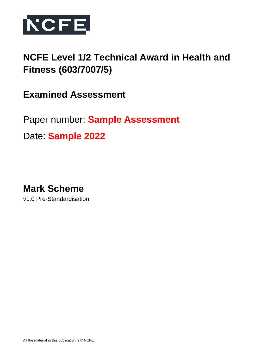

# **NCFE Level 1/2 Technical Award in Health and Fitness (603/7007/5)**

**Examined Assessment**

Paper number: **Sample Assessment**

Date: **Sample 2022**

**Mark Scheme**

v1.0 Pre-Standardisation

All the material in this publication is © NCFE.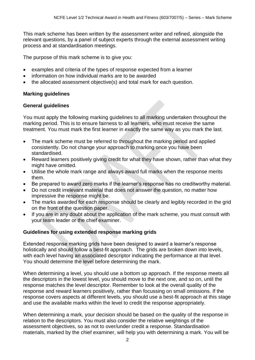This mark scheme has been written by the assessment writer and refined, alongside the relevant questions, by a panel of subject experts through the external assessment writing process and at standardisation meetings.

The purpose of this mark scheme is to give you:

- examples and criteria of the types of response expected from a learner
- information on how individual marks are to be awarded
- the allocated assessment objective(s) and total mark for each question.

## **Marking guidelines**

### **General guidelines**

You must apply the following marking guidelines to all marking undertaken throughout the marking period. This is to ensure fairness to all learners, who must receive the same treatment. You must mark the first learner in exactly the same way as you mark the last.

- The mark scheme must be referred to throughout the marking period and applied consistently. Do not change your approach to marking once you have been standardised.
- Reward learners positively giving credit for what they have shown, rather than what they might have omitted.
- Utilise the whole mark range and always award full marks when the response merits them.
- Be prepared to award zero marks if the learner's response has no creditworthy material.
- Do not credit irrelevant material that does not answer the question, no matter how impressive the response might be.
- The marks awarded for each response should be clearly and legibly recorded in the grid on the front of the question paper.
- If you are in any doubt about the application of the mark scheme, you must consult with your team leader or the chief examiner.

## **Guidelines for using extended response marking grids**

Extended response marking grids have been designed to award a learner's response holistically and should follow a best-fit approach. The grids are broken down into levels, with each level having an associated descriptor indicating the performance at that level. You should determine the level before determining the mark.

When determining a level, you should use a bottom up approach. If the response meets all the descriptors in the lowest level, you should move to the next one, and so on, until the response matches the level descriptor. Remember to look at the overall quality of the response and reward learners positively, rather than focussing on small omissions. If the response covers aspects at different levels, you should use a best-fit approach at this stage and use the available marks within the level to credit the response appropriately.

When determining a mark, your decision should be based on the quality of the response in relation to the descriptors. You must also consider the relative weightings of the assessment objectives, so as not to over/under credit a response. Standardisation materials, marked by the chief examiner, will help you with determining a mark. You will be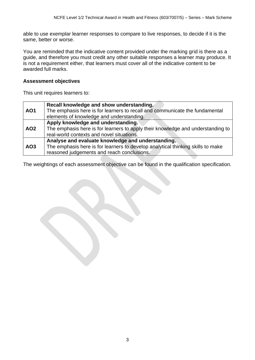able to use exemplar learner responses to compare to live responses, to decide if it is the same, better or worse.

You are reminded that the indicative content provided under the marking grid is there as a guide, and therefore you must credit any other suitable responses a learner may produce. It is not a requirement either, that learners must cover all of the indicative content to be awarded full marks.

### **Assessment objectives**

This unit requires learners to:

|                 | Recall knowledge and show understanding.                                        |
|-----------------|---------------------------------------------------------------------------------|
| <b>AO1</b>      | The emphasis here is for learners to recall and communicate the fundamental     |
|                 | elements of knowledge and understanding.                                        |
|                 | Apply knowledge and understanding.                                              |
| AO <sub>2</sub> | The emphasis here is for learners to apply their knowledge and understanding to |
|                 | real-world contexts and novel situations.                                       |
|                 | Analyse and evaluate knowledge and understanding.                               |
| AO <sub>3</sub> | The emphasis here is for learners to develop analytical thinking skills to make |
|                 | reasoned judgements and reach conclusions.                                      |

The weightings of each assessment objective can be found in the qualification specification.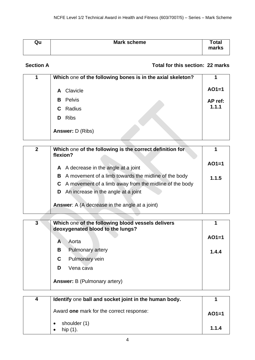| Qu | Mark scheme | <b>Total</b><br>marks |
|----|-------------|-----------------------|
|    |             |                       |

# **Section A** Total for this section: 22 marks

| 1 | Which one of the following bones is in the axial skeleton? |         |
|---|------------------------------------------------------------|---------|
|   | Clavicle<br>A                                              | $AO1=1$ |
|   | Pelvis<br>B                                                | AP ref: |
|   | <b>C</b> Radius                                            | 1.1.1   |
|   | <b>Ribs</b><br>D                                           |         |
|   | <b>Answer: D (Ribs)</b>                                    |         |

| $\overline{2}$ | Which one of the following is the correct definition for<br>flexion? |         |
|----------------|----------------------------------------------------------------------|---------|
|                | A A decrease in the angle at a joint                                 | $AO1=1$ |
|                | A movement of a limb towards the midline of the body<br>В            | 1.1.5   |
|                | C A movement of a limb away from the midline of the body             |         |
|                | An increase in the angle at a joint<br>D                             |         |
|                | <b>Answer:</b> A (A decrease in the angle at a joint)                |         |

| 3 |   | Which one of the following blood vessels delivers<br>deoxygenated blood to the lungs? |         |
|---|---|---------------------------------------------------------------------------------------|---------|
|   | A | Aorta                                                                                 | $AO1=1$ |
|   | В | Pulmonary artery                                                                      | 1.4.4   |
|   | C | Pulmonary vein                                                                        |         |
|   | D | Vena cava                                                                             |         |
|   |   | <b>Answer:</b> B (Pulmonary artery)                                                   |         |

| 4 | Identify one ball and socket joint in the human body. |         |
|---|-------------------------------------------------------|---------|
|   | Award one mark for the correct response:              | $AO1=1$ |
|   | shoulder (1)<br>hip (1).                              | 1.1.4   |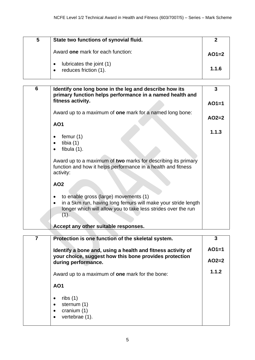| 5 | State two functions of synovial fluid.            |         |
|---|---------------------------------------------------|---------|
|   | Award one mark for each function:                 | $AO1=2$ |
|   | lubricates the joint (1)<br>reduces friction (1). | 1.1.6   |

| 6 | Identify one long bone in the leg and describe how its<br>primary function helps performance in a named health and                          | 3       |
|---|---------------------------------------------------------------------------------------------------------------------------------------------|---------|
|   | fitness activity.                                                                                                                           | $AO1=1$ |
|   | Award up to a maximum of <b>one</b> mark for a named long bone:                                                                             | $AO2=2$ |
|   | <b>AO1</b>                                                                                                                                  |         |
|   | femur $(1)$                                                                                                                                 | 1.1.3   |
|   | tibia $(1)$<br>fibula $(1)$ .                                                                                                               |         |
|   | Award up to a maximum of two marks for describing its primary<br>function and how it helps performance in a health and fitness<br>activity: |         |
|   | <b>AO2</b>                                                                                                                                  |         |
|   | to enable gross (large) movements (1)                                                                                                       |         |
|   | in a 5km run, having long femurs will make your stride length<br>longer which will allow you to take less strides over the run<br>$(1)$ .   |         |
|   | Accept any other suitable responses.                                                                                                        |         |

| 7 | Protection is one function of the skeletal system.                                                                                           | 3       |
|---|----------------------------------------------------------------------------------------------------------------------------------------------|---------|
|   | Identify a bone and, using a health and fitness activity of<br>your choice, suggest how this bone provides protection<br>during performance. | $AO1=1$ |
|   |                                                                                                                                              | $AO2=2$ |
|   | Award up to a maximum of <b>one</b> mark for the bone:                                                                                       | 1.1.2   |
|   | <b>AO1</b>                                                                                                                                   |         |
|   | ribs $(1)$<br>sternum (1)<br>cranium $(1)$<br>vertebrae (1).                                                                                 |         |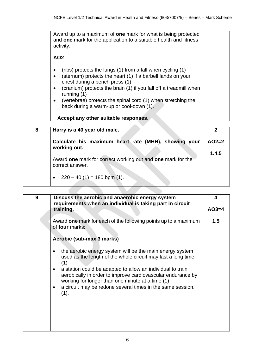| Award up to a maximum of <b>one</b> mark for what is being protected<br>and one mark for the application to a suitable health and fitness<br>activity:                                                                                                                                                                                                                                                           |  |
|------------------------------------------------------------------------------------------------------------------------------------------------------------------------------------------------------------------------------------------------------------------------------------------------------------------------------------------------------------------------------------------------------------------|--|
| AO <sub>2</sub>                                                                                                                                                                                                                                                                                                                                                                                                  |  |
| (ribs) protects the lungs (1) from a fall when cycling (1)<br>$\bullet$<br>(sternum) protects the heart (1) if a barbell lands on your<br>$\bullet$<br>chest during a bench press (1)<br>(cranium) protects the brain (1) if you fall off a treadmill when<br>$\bullet$<br>running $(1)$<br>(vertebrae) protects the spinal cord (1) when stretching the<br>$\bullet$<br>back during a warm-up or cool-down (1). |  |
| Accept any other suitable responses.                                                                                                                                                                                                                                                                                                                                                                             |  |

| 8 | Harry is a 40 year old male.                                                   |         |
|---|--------------------------------------------------------------------------------|---------|
|   | Calculate his maximum heart rate (MHR), showing your<br>working out.           | $AO2=2$ |
|   |                                                                                | 1.4.5   |
|   | Award one mark for correct working out and one mark for the<br>correct answer. |         |
|   | • $220 - 40(1) = 180$ bpm (1).                                                 |         |

| 9 | Discuss the aerobic and anaerobic energy system                                                                                                                                                                                                                                                                                                                                        | 4       |
|---|----------------------------------------------------------------------------------------------------------------------------------------------------------------------------------------------------------------------------------------------------------------------------------------------------------------------------------------------------------------------------------------|---------|
|   | requirements when an individual is taking part in circuit<br>training.                                                                                                                                                                                                                                                                                                                 | $AO3=4$ |
|   | Award one mark for each of the following points up to a maximum<br>of four marks:                                                                                                                                                                                                                                                                                                      | 1.5     |
|   | Aerobic (sub-max 3 marks)                                                                                                                                                                                                                                                                                                                                                              |         |
|   | the aerobic energy system will be the main energy system<br>used as the length of the whole circuit may last a long time<br>(1)<br>a station could be adapted to allow an individual to train<br>aerobically in order to improve cardiovascular endurance by<br>working for longer than one minute at a time (1)<br>a circuit may be redone several times in the same session.<br>(1). |         |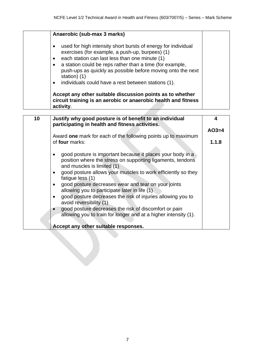|                                                  | Anaerobic (sub-max 3 marks)                                                                                                                                                                                                                                                                                                                                          |
|--------------------------------------------------|----------------------------------------------------------------------------------------------------------------------------------------------------------------------------------------------------------------------------------------------------------------------------------------------------------------------------------------------------------------------|
| $\bullet$<br>$\bullet$<br>$\bullet$<br>$\bullet$ | used for high intensity short bursts of energy for individual<br>exercises (for example, a push-up, burpees) (1)<br>each station can last less than one minute (1)<br>a station could be reps rather than a time (for example,<br>push-ups as quickly as possible before moving onto the next<br>station) (1)<br>individuals could have a rest between stations (1). |
|                                                  | Accept any other suitable discussion points as to whether<br>circuit training is an aerobic or anaerobic health and fitness<br>activity.                                                                                                                                                                                                                             |

| 10 | Justify why good posture is of benefit to an individual<br>participating in health and fitness activities.                                                                                                                                                                                                                                                                                                                                                                                                                                                                                                       | 4       |
|----|------------------------------------------------------------------------------------------------------------------------------------------------------------------------------------------------------------------------------------------------------------------------------------------------------------------------------------------------------------------------------------------------------------------------------------------------------------------------------------------------------------------------------------------------------------------------------------------------------------------|---------|
|    |                                                                                                                                                                                                                                                                                                                                                                                                                                                                                                                                                                                                                  | $AO3=4$ |
|    | Award one mark for each of the following points up to maximum                                                                                                                                                                                                                                                                                                                                                                                                                                                                                                                                                    |         |
|    | of four marks:                                                                                                                                                                                                                                                                                                                                                                                                                                                                                                                                                                                                   | 1.1.8   |
|    | good posture is important because it places your body in a<br>position where the stress on supporting ligaments, tendons<br>and muscles is limited (1)<br>good posture allows your muscles to work efficiently so they<br>fatigue less (1)<br>good posture decreases wear and tear on your joints<br>allowing you to participate later in life (1)<br>good posture decreases the risk of injuries allowing you to<br>avoid reversibility (1)<br>good posture decreases the risk of discomfort or pain<br>allowing you to train for longer and at a higher intensity (1).<br>Accept any other suitable responses. |         |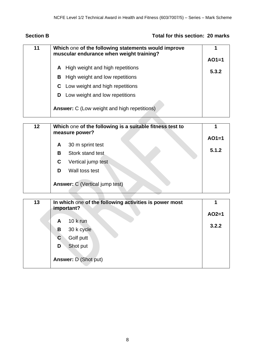# **Section B Total for this section: 20 marks**

| 11 | Which one of the following statements would improve<br>muscular endurance when weight training? |         |  |  |
|----|-------------------------------------------------------------------------------------------------|---------|--|--|
|    |                                                                                                 | $AO1=1$ |  |  |
|    | High weight and high repetitions<br>A                                                           | 5.3.2   |  |  |
|    | High weight and low repetitions<br>В                                                            |         |  |  |
|    | Low weight and high repetitions<br>C                                                            |         |  |  |
|    | Low weight and low repetitions<br>D                                                             |         |  |  |
|    | <b>Answer:</b> C (Low weight and high repetitions)                                              |         |  |  |

| 12 |   | Which one of the following is a suitable fitness test to<br>measure power? |         |
|----|---|----------------------------------------------------------------------------|---------|
|    |   |                                                                            | $AO1=1$ |
|    | A | 30 m sprint test                                                           |         |
|    | В | Stork stand test                                                           | 5.1.2   |
|    | С | Vertical jump test                                                         |         |
|    | D | Wall toss test                                                             |         |
|    |   | <b>Answer: C</b> (Vertical jump test)                                      |         |

| 13 | In which one of the following activities is power most<br>important? |         |  |  |  |
|----|----------------------------------------------------------------------|---------|--|--|--|
|    |                                                                      | $AO2=1$ |  |  |  |
|    | 10 k run<br>A                                                        | 3.2.2   |  |  |  |
|    | 30 k cycle<br>В                                                      |         |  |  |  |
|    | Golf putt<br>C                                                       |         |  |  |  |
|    | Shot put<br>D                                                        |         |  |  |  |
|    | <b>Answer: D (Shot put)</b>                                          |         |  |  |  |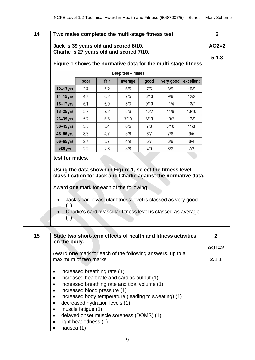|                 |      |      | Beep test - males                                                                                                                                                          |      |           |           |
|-----------------|------|------|----------------------------------------------------------------------------------------------------------------------------------------------------------------------------|------|-----------|-----------|
|                 | poor | fair | average                                                                                                                                                                    | good | very good | excellent |
| $12-13$ yrs     | 3/4  | 5/2  | 6/5                                                                                                                                                                        | 7/6  | 8/9       | 10/9      |
| $14 - 15$ yrs   | 4/7  | 6/2  | 7/5                                                                                                                                                                        | 8/10 | 9/9       | 12/2      |
| $16 - 17$ yrs   | 5/1  | 6/9  | 8/3                                                                                                                                                                        | 9/10 | 11/4      | 13/7      |
| $18 - 25$ yrs   | 5/2  | 7/2  | 8/6                                                                                                                                                                        | 10/2 | 11/6      | 13/10     |
| $26 - 35$ yrs   | 5/2  | 6/6  | 7/10                                                                                                                                                                       | 8/10 | 10/7      | 12/9      |
| 36-45 yrs       | 3/8  | 5/4  | 6/5                                                                                                                                                                        | 7/8  | 8/10      | 11/3      |
| 46-55 yrs       | 3/6  | 4/7  | 5/6                                                                                                                                                                        | 6/7  | 7/8       | 9/5       |
| 56-65 yrs       | 2/7  | 3/7  | 4/9                                                                                                                                                                        | 5/7  | 6/9       | 8/4       |
| $>65$ yrs       | 2/2  | 2/6  | 3/8                                                                                                                                                                        | 4/9  | 6/2       | 7/2       |
| test for males. |      |      | Using the data shown in Figure 1, select the fitness level<br>classification for Jack and Charlie against the normative data.<br>Award one mark for each of the following: |      |           |           |

| 15 | State two short-term effects of health and fitness activities<br>on the body. |         |
|----|-------------------------------------------------------------------------------|---------|
|    |                                                                               | $AO1=2$ |
|    | Award one mark for each of the following answers, up to a                     |         |
|    | maximum of two marks:                                                         | 2.1.1   |
|    |                                                                               |         |
|    | increased breathing rate (1)                                                  |         |
|    | increased heart rate and cardiac output (1)                                   |         |
|    | increased breathing rate and tidal volume (1)                                 |         |
|    | increased blood pressure (1)                                                  |         |
|    | increased body temperature (leading to sweating) (1)                          |         |
|    | decreased hydration levels (1)                                                |         |
|    | muscle fatigue (1)                                                            |         |
|    | delayed onset muscle soreness (DOMS) (1)                                      |         |
|    | light headedness (1)                                                          |         |
|    | nausea (1                                                                     |         |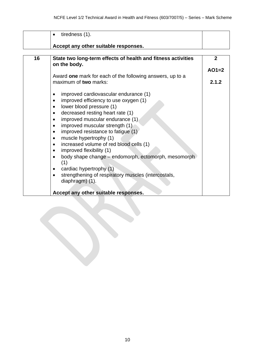|    | tiredness (1).                                                                     |              |
|----|------------------------------------------------------------------------------------|--------------|
|    | Accept any other suitable responses.                                               |              |
| 16 |                                                                                    | $\mathbf{2}$ |
|    | State two long-term effects of health and fitness activities<br>on the body.       |              |
|    |                                                                                    | $AO1=2$      |
|    | Award one mark for each of the following answers, up to a<br>maximum of two marks: | 2.1.2        |
|    |                                                                                    |              |
|    | improved cardiovascular endurance (1)                                              |              |
|    | improved efficiency to use oxygen (1)<br>$\bullet$                                 |              |
|    | lower blood pressure (1)                                                           |              |
|    | decreased resting heart rate (1)<br>improved muscular endurance (1)                |              |
|    | improved muscular strength (1)                                                     |              |
|    | improved resistance to fatigue (1)<br>٠                                            |              |
|    | muscle hypertrophy (1)                                                             |              |
|    | increased volume of red blood cells (1)                                            |              |
|    | improved flexibility (1)                                                           |              |
|    | body shape change – endomorph, ectomorph, mesomorph<br>(1)                         |              |
|    | cardiac hypertrophy (1)                                                            |              |
|    | strengthening of respiratory muscles (intercostals,<br>diaphragm) (1).             |              |
|    | Accept any other suitable responses.                                               |              |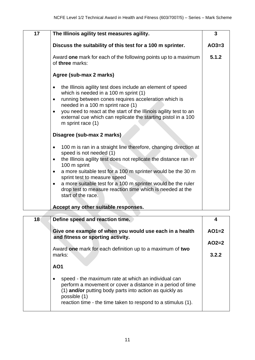| 17 | The Illinois agility test measures agility.                                                                                                                                                                                                                                                                                                                                                                                                                              | 3       |
|----|--------------------------------------------------------------------------------------------------------------------------------------------------------------------------------------------------------------------------------------------------------------------------------------------------------------------------------------------------------------------------------------------------------------------------------------------------------------------------|---------|
|    | Discuss the suitability of this test for a 100 m sprinter.                                                                                                                                                                                                                                                                                                                                                                                                               | $AO3=3$ |
|    | Award one mark for each of the following points up to a maximum<br>of three marks:                                                                                                                                                                                                                                                                                                                                                                                       | 5.1.2   |
|    | Agree (sub-max 2 marks)                                                                                                                                                                                                                                                                                                                                                                                                                                                  |         |
|    | the Illinois agility test does include an element of speed<br>$\bullet$<br>which is needed in a 100 m sprint (1)<br>running between cones requires acceleration which is<br>$\bullet$<br>needed in a 100 m sprint race (1)<br>you need to react at the start of the Illinois agility test to an<br>$\bullet$<br>external cue which can replicate the starting pistol in a 100<br>m sprint race (1)                                                                       |         |
|    | Disagree (sub-max 2 marks)                                                                                                                                                                                                                                                                                                                                                                                                                                               |         |
|    | 100 m is ran in a straight line therefore, changing direction at<br>speed is not needed (1)<br>the Illinois agility test does not replicate the distance ran in<br>$\bullet$<br>100 m sprint<br>a more suitable test for a 100 m sprinter would be the 30 m<br>$\bullet$<br>sprint test to measure speed<br>a more suitable test for a 100 m sprinter would be the ruler<br>$\bullet$<br>drop test to measure reaction time which is needed at the<br>start of the race. |         |
|    | Accept any other suitable responses.                                                                                                                                                                                                                                                                                                                                                                                                                                     |         |

| 18 <sup>°</sup> | Define speed and reaction time.                                                                                                                                                                                                                              |         |
|-----------------|--------------------------------------------------------------------------------------------------------------------------------------------------------------------------------------------------------------------------------------------------------------|---------|
|                 | Give one example of when you would use each in a health<br>and fitness or sporting activity.                                                                                                                                                                 | $AO1=2$ |
|                 |                                                                                                                                                                                                                                                              | $AO2=2$ |
|                 | Award one mark for each definition up to a maximum of two<br>marks:                                                                                                                                                                                          | 3.2.2   |
|                 | AO <sub>1</sub>                                                                                                                                                                                                                                              |         |
|                 | speed - the maximum rate at which an individual can<br>perform a movement or cover a distance in a period of time<br>(1) and/or putting body parts into action as quickly as<br>possible (1)<br>reaction time - the time taken to respond to a stimulus (1). |         |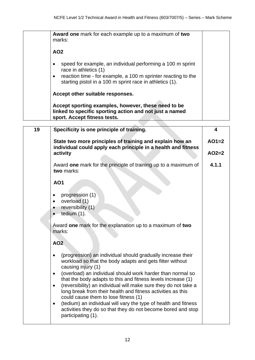|    | Award one mark for each example up to a maximum of two<br>marks:<br><b>AO2</b><br>speed for example, an individual performing a 100 m sprint<br>٠                                                                                                                                                                                                                                                                                                                                            |         |
|----|----------------------------------------------------------------------------------------------------------------------------------------------------------------------------------------------------------------------------------------------------------------------------------------------------------------------------------------------------------------------------------------------------------------------------------------------------------------------------------------------|---------|
|    | race in athletics (1)<br>reaction time - for example, a 100 m sprinter reacting to the<br>٠<br>starting pistol in a 100 m sprint race in athletics (1).                                                                                                                                                                                                                                                                                                                                      |         |
|    | Accept other suitable responses.                                                                                                                                                                                                                                                                                                                                                                                                                                                             |         |
|    | Accept sporting examples, however, these need to be<br>linked to specific sporting action and not just a named<br>sport. Accept fitness tests.                                                                                                                                                                                                                                                                                                                                               |         |
| 19 | Specificity is one principle of training.                                                                                                                                                                                                                                                                                                                                                                                                                                                    | 4       |
|    | State two more principles of training and explain how an<br>individual could apply each principle in a health and fitness                                                                                                                                                                                                                                                                                                                                                                    | $AO1=2$ |
|    | activity                                                                                                                                                                                                                                                                                                                                                                                                                                                                                     | $AO2=2$ |
|    | Award one mark for the principle of training up to a maximum of<br>two marks:                                                                                                                                                                                                                                                                                                                                                                                                                | 4.1.1   |
|    | <b>AO1</b>                                                                                                                                                                                                                                                                                                                                                                                                                                                                                   |         |
|    | progression (1)<br>٠<br>overload (1)<br>$\bullet$<br>reversibility (1)<br>tedium $(1)$ .                                                                                                                                                                                                                                                                                                                                                                                                     |         |
|    | Award one mark for the explanation up to a maximum of two<br>marks:                                                                                                                                                                                                                                                                                                                                                                                                                          |         |
|    | AO <sub>2</sub>                                                                                                                                                                                                                                                                                                                                                                                                                                                                              |         |
|    | (progression) an individual should gradually increase their<br>$\bullet$<br>workload so that the body adapts and gets fitter without<br>causing injury (1)<br>(overload) an individual should work harder than normal so<br>$\bullet$<br>that the body adapts to this and fitness levels increase (1)<br>(reversibility) an individual will make sure they do not take a<br>$\bullet$<br>long break from their health and fitness activities as this<br>could cause them to lose fitness (1) |         |
|    | (tedium) an individual will vary the type of health and fitness<br>$\bullet$<br>activities they do so that they do not become bored and stop<br>participating (1).                                                                                                                                                                                                                                                                                                                           |         |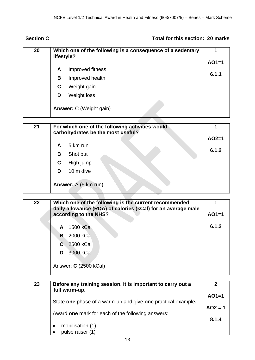# **Section C Total for this section: 20 marks**

| 20 | Which one of the following is a consequence of a sedentary<br>lifestyle? |                                |         |  |
|----|--------------------------------------------------------------------------|--------------------------------|---------|--|
|    |                                                                          |                                | $AO1=1$ |  |
|    | A                                                                        | Improved fitness               | 6.1.1   |  |
|    | B                                                                        | Improved health                |         |  |
|    | C                                                                        | Weight gain                    |         |  |
|    | D                                                                        | <b>Weight loss</b>             |         |  |
|    |                                                                          | <b>Answer: C (Weight gain)</b> |         |  |

| 21 | For which one of the following activities would<br>carbohydrates be the most useful? |                      |         |  |
|----|--------------------------------------------------------------------------------------|----------------------|---------|--|
|    |                                                                                      |                      | $AO2=1$ |  |
|    | A                                                                                    | 5 km run             |         |  |
|    | В                                                                                    | Shot put             | 6.1.2   |  |
|    | C                                                                                    | High jump            |         |  |
|    | D                                                                                    | 10 m dive            |         |  |
|    |                                                                                      | Answer: A (5 km run) |         |  |

| 22 | Which one of the following is the current recommended<br>daily allowance (RDA) of calories (kCal) for an average male |       |  |  |  |
|----|-----------------------------------------------------------------------------------------------------------------------|-------|--|--|--|
|    | according to the NHS?                                                                                                 |       |  |  |  |
|    | 1500 kCal<br>A                                                                                                        | 6.1.2 |  |  |  |
|    | 2000 kCal<br>B                                                                                                        |       |  |  |  |
|    | 2500 kCal<br>C.                                                                                                       |       |  |  |  |
|    | 3000 kCal<br>D.                                                                                                       |       |  |  |  |
|    | Answer: <b>C</b> (2500 kCal)                                                                                          |       |  |  |  |

| 23 | Before any training session, it is important to carry out a<br>full warm-up. | 2         |
|----|------------------------------------------------------------------------------|-----------|
|    |                                                                              | $AO1=1$   |
|    | State one phase of a warm-up and give one practical example.                 | $AO2 = 1$ |
|    | Award one mark for each of the following answers:                            | 8.1.4     |
|    | mobilisation (1)                                                             |           |
|    | pulse raiser (1)                                                             |           |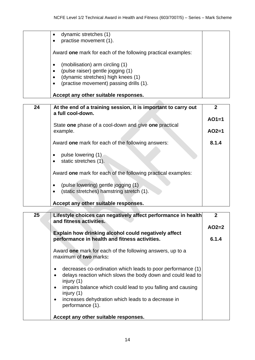| dynamic stretches (1)                                        |
|--------------------------------------------------------------|
| practise movement (1).                                       |
| Award one mark for each of the following practical examples: |
| (mobilisation) arm circling (1)<br>$\bullet$                 |
| (pulse raiser) gentle jogging (1)<br>$\bullet$               |
| (dynamic stretches) high knees (1)<br>$\bullet$              |
| (practise movement) passing drills (1).<br>$\bullet$         |
| Accept any other suitable responses.                         |

| 24 | At the end of a training session, it is important to carry out<br>a full cool-down. | 2       |
|----|-------------------------------------------------------------------------------------|---------|
|    |                                                                                     | $AO1=1$ |
|    | State one phase of a cool-down and give one practical                               |         |
|    | example.                                                                            | $AO2=1$ |
|    | Award one mark for each of the following answers:                                   | 8.1.4   |
|    | pulse lowering (1)                                                                  |         |
|    | static stretches (1).                                                               |         |
|    | Award one mark for each of the following practical examples:                        |         |
|    | (pulse lowering) gentle jogging (1)                                                 |         |
|    | (static stretches) hamstring stretch (1).                                           |         |
|    |                                                                                     |         |
|    | Accept any other suitable responses.                                                |         |

| 25 | Lifestyle choices can negatively affect performance in health<br>and fitness activities.                                                                             | $\overline{2}$ |  |
|----|----------------------------------------------------------------------------------------------------------------------------------------------------------------------|----------------|--|
|    |                                                                                                                                                                      | $AO2=2$        |  |
|    | Explain how drinking alcohol could negatively affect                                                                                                                 |                |  |
|    | performance in health and fitness activities.                                                                                                                        | 6.1.4          |  |
|    | Award one mark for each of the following answers, up to a<br>maximum of two marks:                                                                                   |                |  |
|    | decreases co-ordination which leads to poor performance (1)<br>$\bullet$<br>delays reaction which slows the body down and could lead to<br>$\bullet$<br>injury $(1)$ |                |  |
|    | impairs balance which could lead to you falling and causing<br>$\bullet$<br>injury $(1)$                                                                             |                |  |
|    | increases dehydration which leads to a decrease in<br>$\bullet$<br>performance (1).                                                                                  |                |  |
|    | Accept any other suitable responses.                                                                                                                                 |                |  |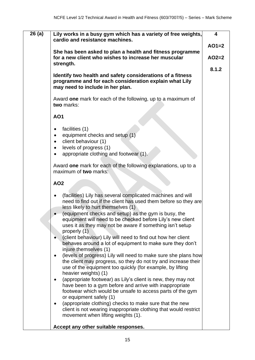| 26(a) | Lily works in a busy gym which has a variety of free weights,<br>cardio and resistance machines.                                                                                                           | $\overline{\mathbf{4}}$ |  |
|-------|------------------------------------------------------------------------------------------------------------------------------------------------------------------------------------------------------------|-------------------------|--|
|       |                                                                                                                                                                                                            | $AO1=2$                 |  |
|       | She has been asked to plan a health and fitness programme<br>for a new client who wishes to increase her muscular<br>strength.                                                                             |                         |  |
|       |                                                                                                                                                                                                            | 8.1.2                   |  |
|       | Identify two health and safety considerations of a fitness<br>programme and for each consideration explain what Lily<br>may need to include in her plan.                                                   |                         |  |
|       | Award one mark for each of the following, up to a maximum of<br>two marks:                                                                                                                                 |                         |  |
|       | <b>AO1</b>                                                                                                                                                                                                 |                         |  |
|       | facilities (1)                                                                                                                                                                                             |                         |  |
|       | equipment checks and setup (1)                                                                                                                                                                             |                         |  |
|       | client behaviour (1)<br>levels of progress (1)                                                                                                                                                             |                         |  |
|       | appropriate clothing and footwear (1).                                                                                                                                                                     |                         |  |
|       | Award one mark for each of the following explanations, up to a<br>maximum of two marks:                                                                                                                    |                         |  |
|       | <b>AO2</b>                                                                                                                                                                                                 |                         |  |
|       | (facilities) Lily has several complicated machines and will<br>need to find out if the client has used them before so they are<br>less likely to hurt themselves (1)                                       |                         |  |
|       | (equipment checks and setup) as the gym is busy, the<br>equipment will need to be checked before Lily's new client                                                                                         |                         |  |
|       | uses it as they may not be aware if something isn't setup<br>properly (1)                                                                                                                                  |                         |  |
|       | (client behaviour) Lily will need to find out how her client<br>behaves around a lot of equipment to make sure they don't<br>injure themselves (1)                                                         |                         |  |
|       | (levels of progress) Lily will need to make sure she plans how<br>$\bullet$<br>the client may progress, so they do not try and increase their<br>use of the equipment too quickly (for example, by lifting |                         |  |
|       | heavier weights) (1)<br>(appropriate footwear) as Lily's client is new, they may not                                                                                                                       |                         |  |
|       | have been to a gym before and arrive with inappropriate<br>footwear which would be unsafe to access parts of the gym                                                                                       |                         |  |
|       | or equipment safely (1)<br>(appropriate clothing) checks to make sure that the new                                                                                                                         |                         |  |
|       | client is not wearing inappropriate clothing that would restrict<br>movement when lifting weights (1).                                                                                                     |                         |  |
|       | Accept any other suitable responses.                                                                                                                                                                       |                         |  |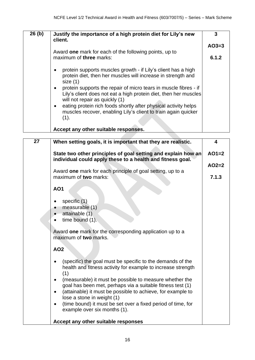| 26(h) | Justify the importance of a high protein diet for Lily's new<br>client.                                                                                                             | 3       |
|-------|-------------------------------------------------------------------------------------------------------------------------------------------------------------------------------------|---------|
|       |                                                                                                                                                                                     | $AO3=3$ |
|       | Award one mark for each of the following points, up to<br>maximum of three marks:                                                                                                   |         |
|       | protein supports muscles growth - if Lily's client has a high<br>protein diet, then her muscles will increase in strength and<br>size(1)                                            |         |
|       | protein supports the repair of micro tears in muscle fibres - if<br>$\bullet$<br>Lily's client does not eat a high protein diet, then her muscles<br>will not repair as quickly (1) |         |
|       | eating protein rich foods shortly after physical activity helps<br>$\bullet$<br>muscles recover, enabling Lily's client to train again quicker<br>(1).                              |         |
|       | Accept any other suitable responses.                                                                                                                                                |         |

| 27 | When setting goals, it is important that they are realistic.                                                                      | $\overline{\mathbf{4}}$ |
|----|-----------------------------------------------------------------------------------------------------------------------------------|-------------------------|
|    | State two other principles of goal setting and explain how an<br>individual could apply these to a health and fitness goal.       | $AO1=2$                 |
|    |                                                                                                                                   | $AO2=2$                 |
|    | Award one mark for each principle of goal setting, up to a<br>maximum of two marks:                                               | 7.1.3                   |
|    | <b>AO1</b>                                                                                                                        |                         |
|    | specific $(1)$<br>measurable (1)                                                                                                  |                         |
|    | attainable (1)<br>time bound (1).                                                                                                 |                         |
|    |                                                                                                                                   |                         |
|    | Award one mark for the corresponding application up to a<br>maximum of two marks.                                                 |                         |
|    | <b>AO2</b>                                                                                                                        |                         |
|    | (specific) the goal must be specific to the demands of the<br>health and fitness activity for example to increase strength<br>(1) |                         |
|    | (measurable) it must be possible to measure whether the<br>goal has been met, perhaps via a suitable fitness test (1)             |                         |
|    | (attainable) it must be possible to achieve, for example to<br>lose a stone in weight (1)                                         |                         |
|    | (time bound) it must be set over a fixed period of time, for<br>example over six months (1).                                      |                         |
|    | Accept any other suitable responses                                                                                               |                         |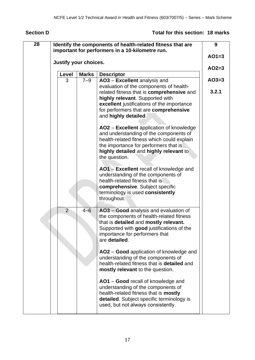# **Section D Total for this section: 18 marks**

| 28 |                       |              | Identify the components of health-related fitness that are                          | 9       |  |
|----|-----------------------|--------------|-------------------------------------------------------------------------------------|---------|--|
|    |                       |              | important for performers in a 10-kilometre run.                                     | $AO1=3$ |  |
|    | Justify your choices. |              |                                                                                     |         |  |
|    | Level                 | <b>Marks</b> | <b>Descriptor</b>                                                                   |         |  |
|    | 3                     | $7 - 9$      | AO3 - Excellent analysis and                                                        | $AO3=3$ |  |
|    |                       |              | evaluation of the components of health-                                             |         |  |
|    |                       |              | related fitness that is comprehensive and                                           | 3.2.1   |  |
|    |                       |              | highly relevant. Supported with                                                     |         |  |
|    |                       |              | excellent justifications of the importance<br>for performers that are comprehensive |         |  |
|    |                       |              | and highly detailed.                                                                |         |  |
|    |                       |              |                                                                                     |         |  |
|    |                       |              | AO2 - Excellent application of knowledge                                            |         |  |
|    |                       |              | and understanding of the components of                                              |         |  |
|    |                       |              | health-related fitness which could explain                                          |         |  |
|    |                       |              | the importance for performers that is                                               |         |  |
|    |                       |              | highly detailed and highly relevant to                                              |         |  |
|    |                       |              | the question.                                                                       |         |  |
|    |                       |              | AO1 - Excellent recall of knowledge and                                             |         |  |
|    |                       |              | understanding of the components of                                                  |         |  |
|    |                       |              | health-related fitness that is                                                      |         |  |
|    |                       |              | comprehensive. Subject specific                                                     |         |  |
|    |                       |              | terminology is used consistently                                                    |         |  |
|    |                       |              | throughout.                                                                         |         |  |
|    | 2                     | $4 - 6$      | AO3 - Good analysis and evaluation of                                               |         |  |
|    |                       |              | the components of health-related fitness                                            |         |  |
|    |                       |              | that is detailed and mostly relevant.                                               |         |  |
|    |                       |              | Supported with good justifications of the                                           |         |  |
|    |                       |              | importance for performers that                                                      |         |  |
|    |                       |              | are detailed.                                                                       |         |  |
|    |                       |              |                                                                                     |         |  |
|    |                       |              | AO2 - Good application of knowledge and<br>understanding of the components of       |         |  |
|    |                       |              | health-related fitness that is <b>detailed</b> and                                  |         |  |
|    |                       |              | mostly relevant to the question.                                                    |         |  |
|    |                       |              |                                                                                     |         |  |
|    |                       |              | AO1 – Good recall of knowledge and                                                  |         |  |
|    |                       |              | understanding of the components of                                                  |         |  |
|    |                       |              | health-related fitness that is mostly                                               |         |  |
|    |                       |              | detailed. Subject specific terminology is                                           |         |  |
|    |                       |              | used, but not always consistently.                                                  |         |  |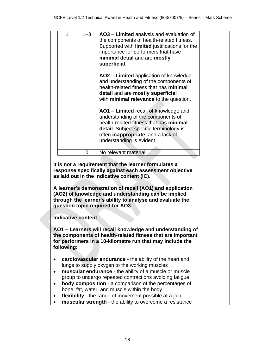|                        | 1                         | $1 - 3$  | AO3 - Limited analysis and evaluation of<br>the components of health-related fitness.<br>Supported with limited justifications for the<br>importance for performers that have<br>minimal detail and are mostly<br>superficial.                                                                                                                                                       |  |
|------------------------|---------------------------|----------|--------------------------------------------------------------------------------------------------------------------------------------------------------------------------------------------------------------------------------------------------------------------------------------------------------------------------------------------------------------------------------------|--|
|                        |                           |          | AO2 – Limited application of knowledge<br>and understanding of the components of<br>health-related fitness that has minimal<br>detail and are mostly superficial<br>with minimal relevance to the question.                                                                                                                                                                          |  |
|                        |                           |          | AO1 - Limited recall of knowledge and<br>understanding of the components of<br>health-related fitness that has minimal<br>detail. Subject specific terminology is<br>often inappropriate, and a lack of<br>understanding is evident.                                                                                                                                                 |  |
|                        |                           | $\Omega$ | No relevant material.                                                                                                                                                                                                                                                                                                                                                                |  |
|                        |                           |          | It is not a requirement that the learner formulates a<br>response specifically against each assessment objective<br>as laid out in the indicative content (IC).<br>A learner's demonstration of recall (AO1) and application<br>(AO2) of knowledge and understanding can be implied<br>through the learner's ability to analyse and evaluate the<br>question topic required for AO3. |  |
|                        | <b>Indicative content</b> |          |                                                                                                                                                                                                                                                                                                                                                                                      |  |
|                        | following:                |          | AO1 - Learners will recall knowledge and understanding of<br>the components of health-related fitness that are important<br>for performers in a 10-kilometre run that may include the                                                                                                                                                                                                |  |
| $\bullet$<br>$\bullet$ |                           |          | cardiovascular endurance - the ability of the heart and<br>lungs to supply oxygen to the working muscles<br>muscular endurance - the ability of a muscle or muscle<br>group to undergo repeated contractions avoiding fatigue                                                                                                                                                        |  |
|                        |                           |          | <b>body composition</b> - a comparison of the percentages of<br>bone, fat, water, and muscle within the body                                                                                                                                                                                                                                                                         |  |
|                        |                           |          | flexibility - the range of movement possible at a join<br>muscular strength - the ability to overcome a resistance                                                                                                                                                                                                                                                                   |  |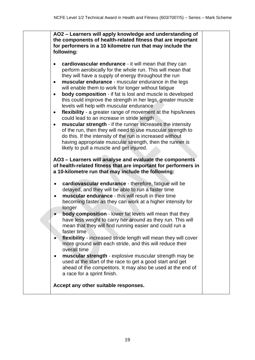| AO2 - Learners will apply knowledge and understanding of<br>the components of health-related fitness that are important<br>for performers in a 10 kilometre run that may include the<br>following:                                                                                                                                                                                                                                                                                                                                                                                                                                                                                                                                                                                                                                                                                                                                                                                                                                                                                                |  |
|---------------------------------------------------------------------------------------------------------------------------------------------------------------------------------------------------------------------------------------------------------------------------------------------------------------------------------------------------------------------------------------------------------------------------------------------------------------------------------------------------------------------------------------------------------------------------------------------------------------------------------------------------------------------------------------------------------------------------------------------------------------------------------------------------------------------------------------------------------------------------------------------------------------------------------------------------------------------------------------------------------------------------------------------------------------------------------------------------|--|
| cardiovascular endurance - it will mean that they can<br>perform aerobically for the whole run. This will mean that<br>they will have a supply of energy throughout the run<br>muscular endurance - muscular endurance in the legs<br>$\bullet$<br>will enable them to work for longer without fatigue<br>body composition - if fat is lost and muscle is developed<br>$\bullet$<br>this could improve the strength in her legs, greater muscle<br>levels will help with muscular endurance<br>flexibility - a greater range of movement at the hips/knees<br>٠<br>could lead to an increase in stride length<br>muscular strength - if the runner increases the intensity<br>of the run, then they will need to use muscular strength to<br>do this. If the intensity of the run is increased without<br>having appropriate muscular strength, then the runner is<br>likely to pull a muscle and get injured.<br>AO3 - Learners will analyse and evaluate the components<br>of health-related fitness that are important for performers in<br>a 10-kilometre run that may include the following: |  |
| cardiovascular endurance - therefore, fatigue will be<br>delayed, and they will be able to run a faster time<br>muscular endurance - this will result in their time<br>٠<br>becoming faster as they can work at a higher intensity for<br>longer<br><b>body composition</b> - lower fat levels will mean that they<br>have less weight to carry her around as they run. This will<br>mean that they will find running easier and could run a<br>faster time<br>flexibility - increased stride length will mean they will cover<br>more ground with each stride, and this will reduce their<br>overall time<br>muscular strength - explosive muscular strength may be<br>used at the start of the race to get a good start and get<br>ahead of the competitors. It may also be used at the end of<br>a race for a sprint finish.                                                                                                                                                                                                                                                                   |  |
| Accept any other suitable responses.                                                                                                                                                                                                                                                                                                                                                                                                                                                                                                                                                                                                                                                                                                                                                                                                                                                                                                                                                                                                                                                              |  |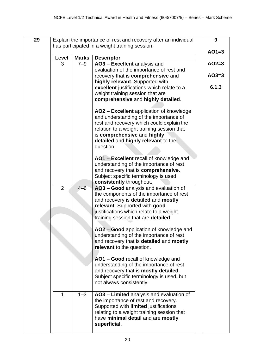| 29                    | Explain the importance of rest and recovery after an individual |         |                                                                                     |         |  |  |  |
|-----------------------|-----------------------------------------------------------------|---------|-------------------------------------------------------------------------------------|---------|--|--|--|
|                       | has participated in a weight training session.                  |         |                                                                                     |         |  |  |  |
| Level<br><b>Marks</b> |                                                                 |         | <b>Descriptor</b>                                                                   | $AO1=3$ |  |  |  |
| 3<br>$7 - 9$          |                                                                 |         | AO3 - Excellent analysis and                                                        | $AO2=3$ |  |  |  |
|                       |                                                                 |         | evaluation of the importance of rest and                                            | $AO3=3$ |  |  |  |
|                       |                                                                 |         | recovery that is comprehensive and<br>highly relevant. Supported with               |         |  |  |  |
|                       |                                                                 |         | excellent justifications which relate to a                                          | 6.1.3   |  |  |  |
|                       |                                                                 |         | weight training session that are                                                    |         |  |  |  |
|                       |                                                                 |         | comprehensive and highly detailed.                                                  |         |  |  |  |
|                       |                                                                 |         | AO2 - Excellent application of knowledge                                            |         |  |  |  |
|                       |                                                                 |         | and understanding of the importance of                                              |         |  |  |  |
|                       |                                                                 |         | rest and recovery which could explain the                                           |         |  |  |  |
|                       |                                                                 |         | relation to a weight training session that<br>is comprehensive and highly           |         |  |  |  |
|                       |                                                                 |         | detailed and highly relevant to the                                                 |         |  |  |  |
|                       |                                                                 |         | question.                                                                           |         |  |  |  |
|                       |                                                                 |         | AO1 - Excellent recall of knowledge and                                             |         |  |  |  |
|                       |                                                                 |         | understanding of the importance of rest                                             |         |  |  |  |
|                       |                                                                 |         | and recovery that is comprehensive.                                                 |         |  |  |  |
|                       |                                                                 |         | Subject specific terminology is used                                                |         |  |  |  |
|                       | $\overline{2}$                                                  | $4 - 6$ | consistently throughout.<br>AO3 - Good analysis and evaluation of                   |         |  |  |  |
|                       |                                                                 |         | the components of the importance of rest                                            |         |  |  |  |
|                       |                                                                 |         | and recovery is detailed and mostly                                                 |         |  |  |  |
|                       |                                                                 |         | relevant. Supported with good                                                       |         |  |  |  |
|                       |                                                                 |         | justifications which relate to a weight<br>training session that are detailed.      |         |  |  |  |
|                       |                                                                 |         |                                                                                     |         |  |  |  |
|                       |                                                                 |         | AO2 - Good application of knowledge and                                             |         |  |  |  |
|                       |                                                                 |         | understanding of the importance of rest<br>and recovery that is detailed and mostly |         |  |  |  |
|                       |                                                                 |         | relevant to the question.                                                           |         |  |  |  |
|                       |                                                                 |         |                                                                                     |         |  |  |  |
|                       |                                                                 |         | AO1 - Good recall of knowledge and                                                  |         |  |  |  |
|                       |                                                                 |         | understanding of the importance of rest<br>and recovery that is mostly detailed.    |         |  |  |  |
|                       |                                                                 |         | Subject specific terminology is used, but                                           |         |  |  |  |
|                       |                                                                 |         | not always consistently.                                                            |         |  |  |  |
|                       | 1                                                               | $1 - 3$ | AO3 - Limited analysis and evaluation of                                            |         |  |  |  |
|                       |                                                                 |         | the importance of rest and recovery.                                                |         |  |  |  |
|                       |                                                                 |         | Supported with limited justifications                                               |         |  |  |  |
|                       |                                                                 |         | relating to a weight training session that                                          |         |  |  |  |
|                       |                                                                 |         | have minimal detail and are mostly<br>superficial.                                  |         |  |  |  |
|                       |                                                                 |         |                                                                                     |         |  |  |  |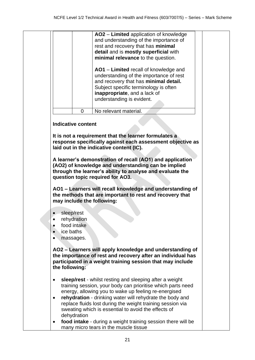|  |                                                                                               |                           | AO2 - Limited application of knowledge                       |  |  |  |  |  |
|--|-----------------------------------------------------------------------------------------------|---------------------------|--------------------------------------------------------------|--|--|--|--|--|
|  |                                                                                               |                           | and understanding of the importance of                       |  |  |  |  |  |
|  |                                                                                               |                           | rest and recovery that has minimal                           |  |  |  |  |  |
|  |                                                                                               |                           | detail and is mostly superficial with                        |  |  |  |  |  |
|  |                                                                                               |                           | minimal relevance to the question.                           |  |  |  |  |  |
|  |                                                                                               |                           |                                                              |  |  |  |  |  |
|  |                                                                                               |                           | AO1 - Limited recall of knowledge and                        |  |  |  |  |  |
|  |                                                                                               |                           |                                                              |  |  |  |  |  |
|  |                                                                                               |                           | understanding of the importance of rest                      |  |  |  |  |  |
|  |                                                                                               |                           | and recovery that has minimal detail.                        |  |  |  |  |  |
|  |                                                                                               |                           | Subject specific terminology is often                        |  |  |  |  |  |
|  |                                                                                               |                           | inappropriate, and a lack of                                 |  |  |  |  |  |
|  |                                                                                               |                           | understanding is evident.                                    |  |  |  |  |  |
|  |                                                                                               | 0                         | No relevant material.                                        |  |  |  |  |  |
|  |                                                                                               |                           |                                                              |  |  |  |  |  |
|  |                                                                                               | <b>Indicative content</b> |                                                              |  |  |  |  |  |
|  |                                                                                               |                           |                                                              |  |  |  |  |  |
|  |                                                                                               |                           | It is not a requirement that the learner formulates a        |  |  |  |  |  |
|  |                                                                                               |                           | response specifically against each assessment objective as   |  |  |  |  |  |
|  |                                                                                               |                           | laid out in the indicative content (IC).                     |  |  |  |  |  |
|  |                                                                                               |                           |                                                              |  |  |  |  |  |
|  |                                                                                               |                           | A learner's demonstration of recall (AO1) and application    |  |  |  |  |  |
|  |                                                                                               |                           | (AO2) of knowledge and understanding can be implied          |  |  |  |  |  |
|  | through the learner's ability to analyse and evaluate the<br>question topic required for AO3. |                           |                                                              |  |  |  |  |  |
|  |                                                                                               |                           |                                                              |  |  |  |  |  |
|  |                                                                                               |                           |                                                              |  |  |  |  |  |
|  |                                                                                               |                           | AO1 - Learners will recall knowledge and understanding of    |  |  |  |  |  |
|  | the methods that are important to rest and recovery that                                      |                           |                                                              |  |  |  |  |  |
|  |                                                                                               |                           | may include the following:                                   |  |  |  |  |  |
|  |                                                                                               |                           |                                                              |  |  |  |  |  |
|  |                                                                                               | sleep/rest                |                                                              |  |  |  |  |  |
|  |                                                                                               | rehydration               |                                                              |  |  |  |  |  |
|  |                                                                                               | food intake               |                                                              |  |  |  |  |  |
|  | ice baths                                                                                     |                           |                                                              |  |  |  |  |  |
|  |                                                                                               | massages.                 |                                                              |  |  |  |  |  |
|  |                                                                                               |                           |                                                              |  |  |  |  |  |
|  |                                                                                               |                           | AO2 - Learners will apply knowledge and understanding of     |  |  |  |  |  |
|  |                                                                                               |                           | the importance of rest and recovery after an individual has  |  |  |  |  |  |
|  |                                                                                               |                           | participated in a weight training session that may include   |  |  |  |  |  |
|  | the following:                                                                                |                           |                                                              |  |  |  |  |  |
|  |                                                                                               |                           |                                                              |  |  |  |  |  |
|  | ٠                                                                                             |                           | sleep/rest - whilst resting and sleeping after a weight      |  |  |  |  |  |
|  |                                                                                               |                           | training session, your body can prioritise which parts need  |  |  |  |  |  |
|  |                                                                                               |                           | energy, allowing you to wake up feeling re-energised         |  |  |  |  |  |
|  | $\bullet$                                                                                     |                           | rehydration - drinking water will rehydrate the body and     |  |  |  |  |  |
|  |                                                                                               |                           | replace fluids lost during the weight training session via   |  |  |  |  |  |
|  |                                                                                               |                           | sweating which is essential to avoid the effects of          |  |  |  |  |  |
|  |                                                                                               |                           |                                                              |  |  |  |  |  |
|  |                                                                                               | dehydration               |                                                              |  |  |  |  |  |
|  | ٠                                                                                             |                           | food intake - during a weight training session there will be |  |  |  |  |  |
|  |                                                                                               |                           | many micro tears in the muscle tissue                        |  |  |  |  |  |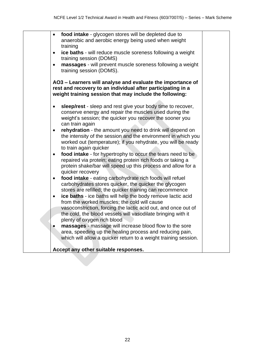|           | food intake - glycogen stores will be depleted due to<br>anaerobic and aerobic energy being used when weight<br>training                                                                                                                      |  |
|-----------|-----------------------------------------------------------------------------------------------------------------------------------------------------------------------------------------------------------------------------------------------|--|
| $\bullet$ | ice baths - will reduce muscle soreness following a weight<br>training session (DOMS)                                                                                                                                                         |  |
|           | massages - will prevent muscle soreness following a weight<br>training session (DOMS).                                                                                                                                                        |  |
|           | AO3 – Learners will analyse and evaluate the importance of<br>rest and recovery to an individual after participating in a<br>weight training session that may include the following:                                                          |  |
|           | sleep/rest - sleep and rest give your body time to recover,<br>conserve energy and repair the muscles used during the<br>weight's session; the quicker you recover the sooner you<br>can train again                                          |  |
| $\bullet$ | rehydration - the amount you need to drink will depend on<br>the intensity of the session and the environment in which you<br>worked out (temperature); if you rehydrate, you will be ready<br>to train again quicker                         |  |
| $\bullet$ | food intake - for hypertrophy to occur the tears need to be<br>repaired via protein; eating protein rich foods or taking a<br>protein shake/bar will speed up this process and allow for a<br>quicker recovery                                |  |
| $\bullet$ | food intake - eating carbohydrate rich foods will refuel<br>carbohydrates stores quicker, the quicker the glycogen<br>stores are refilled; the quicker training can recommence                                                                |  |
| $\bullet$ | ice baths - ice baths will help the body remove lactic acid<br>from the worked muscles; the cold will cause<br>vasoconstriction, forcing the lactic acid out, and once out of<br>the cold, the blood vessels will vasodilate bringing with it |  |
|           | plenty of oxygen rich blood                                                                                                                                                                                                                   |  |
|           | massages - massage will increase blood flow to the sore<br>area, speeding up the healing process and reducing pain,<br>which will allow a quicker return to a weight training session.                                                        |  |
|           | Accept any other suitable responses.                                                                                                                                                                                                          |  |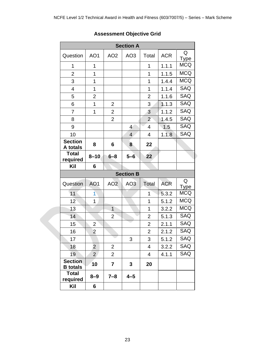| <b>Section A</b>                  |                 |                 |                  |                |            |                  |  |  |
|-----------------------------------|-----------------|-----------------|------------------|----------------|------------|------------------|--|--|
| Question                          | AO1             | AO <sub>2</sub> | AO <sub>3</sub>  | Total          | <b>ACR</b> | Q<br><b>Type</b> |  |  |
| 1                                 | 1               |                 |                  | 1              | 1.1.1      | <b>MCQ</b>       |  |  |
| $\overline{c}$                    | 1               |                 |                  | 1              | 1.1.5      | <b>MCQ</b>       |  |  |
| 3                                 | 1               |                 |                  | $\overline{1}$ | 1.4.4      | <b>MCQ</b>       |  |  |
| $\overline{4}$                    | $\overline{1}$  |                 |                  | $\overline{1}$ | 1.1.4      | SAQ              |  |  |
| 5                                 | $\overline{2}$  |                 |                  | $\overline{2}$ | 1.1.6      | SAQ              |  |  |
| 6                                 | $\overline{1}$  | $\overline{2}$  |                  | 3              | 1.1.3      | SAQ              |  |  |
| $\overline{7}$                    | $\overline{1}$  | $\overline{2}$  |                  | 3              | 1.1.2      | SAQ              |  |  |
| 8                                 |                 | $\overline{2}$  |                  | $\overline{2}$ | 1.4.5      | SAQ              |  |  |
| 9                                 |                 |                 | $\overline{4}$   | 4              | 1.5        | <b>SAQ</b>       |  |  |
| 10                                |                 |                 | $\overline{4}$   | $\overline{4}$ | 1.1.8      | SAQ              |  |  |
| <b>Section</b><br>A totals        | 8               | 6               | 8                | 22             |            |                  |  |  |
| <b>Total</b><br>required          | $8 - 10$        | $6 - 8$         | $5 - 6$          | 22             |            |                  |  |  |
| Kil                               | 6               |                 |                  |                |            |                  |  |  |
|                                   |                 |                 | <b>Section B</b> |                |            |                  |  |  |
| Question                          | AO <sub>1</sub> | AO <sub>2</sub> | AO <sub>3</sub>  | Total          | <b>ACR</b> | Q<br><b>Type</b> |  |  |
| 11                                | 1               |                 |                  | 1              | 5.3.2      | <b>MCQ</b>       |  |  |
| 12                                | 1               |                 |                  | $\overline{1}$ | 5.1.2      | <b>MCQ</b>       |  |  |
| 13                                |                 | $\mathbf{1}$    |                  | 1              | 3.2.2      | <b>MCQ</b>       |  |  |
| 14                                |                 | $\overline{2}$  |                  | $\overline{2}$ | 5.1.3      | SAQ              |  |  |
| 15                                | $\overline{2}$  |                 |                  | $\overline{2}$ | 2.1.1      | SAQ              |  |  |
| 16                                | $\overline{2}$  |                 |                  | $\overline{2}$ | 2.1.2      | SAQ              |  |  |
| 17                                |                 |                 | 3                | 3              | 5.1.2      | SAQ              |  |  |
| 18                                | $\overline{2}$  | $\overline{2}$  |                  | $\overline{4}$ | 3.2.2      | SAQ              |  |  |
| 19                                | $\overline{2}$  | $\overline{2}$  |                  | 4              | 4.1.1      | <b>SAQ</b>       |  |  |
| <b>Section</b><br><b>B</b> totals | 10              | $\overline{7}$  | 3                | 20             |            |                  |  |  |
| <b>Total</b><br>required          | $8 - 9$         | $7 - 8$         | $4 - 5$          |                |            |                  |  |  |
| Kil                               | 6               |                 |                  |                |            |                  |  |  |

# **Assessment Objective Grid**